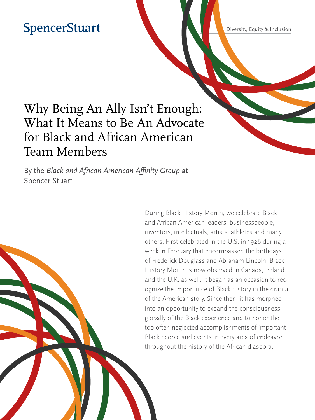## **SpencerStuart**

Diversity, Equity & Inclusion

## Why Being An Ally Isn't Enough: What It Means to Be An Advocate for Black and African American Team Members

By the *Black and African American Affinity Group* at Spencer Stuart

> During Black History Month, we celebrate Black and African American leaders, businesspeople, inventors, intellectuals, artists, athletes and many others. First celebrated in the U.S. in 1926 during a week in February that encompassed the birthdays of Frederick Douglass and Abraham Lincoln, Black History Month is now observed in Canada, Ireland and the U.K. as well. It began as an occasion to recognize the importance of Black history in the drama of the American story. Since then, it has morphed into an opportunity to expand the consciousness globally of the Black experience and to honor the too-often neglected accomplishments of important Black people and events in every area of endeavor throughout the history of the African diaspora.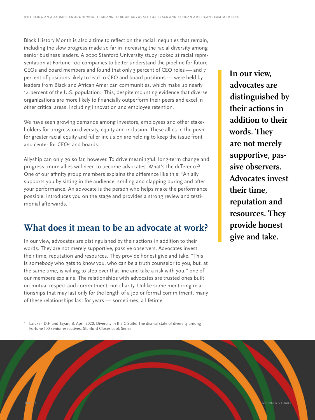Black History Month is also a time to reflect on the racial inequities that remain, including the slow progress made so far in increasing the racial diversity among senior business leaders. A 2020 Stanford University study looked at racial representation at Fortune 100 companies to better understand the pipeline for future CEOs and board members and found that only 3 percent of CEO roles — and 7 percent of positions likely to lead to CEO and board positions — were held by leaders from Black and African American communities, which make up nearly 14 percent of the U.S. population.<sup>1</sup> This, despite mounting evidence that diverse organizations are more likely to financially outperform their peers and excel in other critical areas, including innovation and employee retention.

We have seen growing demands among investors, employees and other stakeholders for progress on diversity, equity and inclusion. These allies in the push for greater racial equity and fuller inclusion are helping to keep the issue front and center for CEOs and boards.

Allyship can only go so far, however. To drive meaningful, long-term change and progress, more allies will need to become advocates. What's the difference? One of our affinity group members explains the difference like this: "An ally supports you by sitting in the audience, smiling and clapping during and after your performance. An advocate is the person who helps make the performance possible, introduces you on the stage and provides a strong review and testimonial afterwards."

### **What does it mean to be an advocate at work?**

In our view, advocates are distinguished by their actions in addition to their words. They are not merely supportive, passive observers. Advocates invest their time, reputation and resources. They provide honest give and take. "This is somebody who gets to know you, who can be a truth counselor to you, but, at the same time, is willing to step over that line and take a risk with you," one of our members explains. The relationships with advocates are trusted ones built on mutual respect and commitment, not charity. Unlike some mentoring relationships that may last only for the length of a job or formal commitment, many of these relationships last for years — sometimes, a lifetime.

**In our view, advocates are distinguished by their actions in addition to their words. They are not merely supportive, passive observers. Advocates invest their time, reputation and resources. They provide honest give and take.**

Larcker, D.F. and Tayan, B. April 2020. Diversity in the C-Suite: The dismal state of diversity among Fortune 100 senior executives. Stanford Closer Look Series.

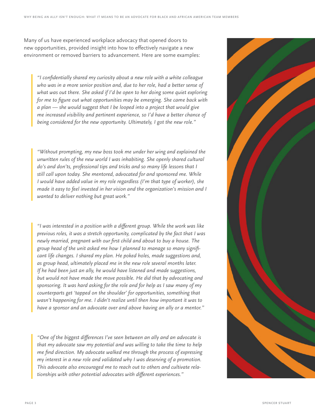Many of us have experienced workplace advocacy that opened doors to new opportunities, provided insight into how to effectively navigate a new environment or removed barriers to advancement. Here are some examples:

*"I confidentially shared my curiosity about a new role with a white colleague who was in a more senior position and, due to her role, had a better sense of what was out there. She asked if I'd be open to her doing some quiet exploring for me to figure out what opportunities may be emerging. She came back with a plan — she would suggest that I be looped into a project that would give me increased visibility and pertinent experience, so I'd have a better chance of being considered for the new opportunity. Ultimately, I got the new role."*

*"Without prompting, my new boss took me under her wing and explained the unwritten rules of the new world I was inhabiting. She openly shared cultural do's and don'ts, professional tips and tricks and so many life lessons that I still call upon today. She mentored, advocated for and sponsored me. While I would have added value in my role regardless (I'm that type of worker), she made it easy to feel invested in her vision and the organization's mission and I wanted to deliver nothing but great work."* 

*"I was interested in a position with a different group. While the work was like previous roles, it was a stretch opportunity, complicated by the fact that I was newly married, pregnant with our first child and about to buy a house. The group head of the unit asked me how I planned to manage so many significant life changes. I shared my plan. He poked holes, made suggestions and, as group head, ultimately placed me in the new role several months later. If he had been just an ally, he would have listened and made suggestions, but would not have made the move possible. He did that by advocating and sponsoring. It was hard asking for the role and for help as I saw many of my counterparts get 'tapped on the shoulder' for opportunities, something that wasn't happening for me. I didn't realize until then how important it was to have a sponsor and an advocate over and above having an ally or a mentor."*

*"One of the biggest differences I've seen between an ally and an advocate is that my advocate saw my potential and was willing to take the time to help me find direction. My advocate walked me through the process of expressing my interest in a new role and validated why I was deserving of a promotion. This advocate also encouraged me to reach out to others and cultivate relationships with other potential advocates with different experiences."* 

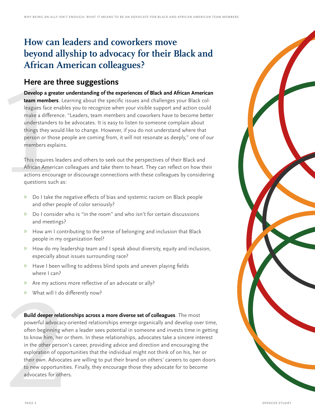### **How can leaders and coworkers move beyond allyship to advocacy for their Black and African American colleagues?**

#### **Here are three suggestions**

Here are<br>
Develop a gr<br>
team membe<br>
leagues face<br>
make a different<br>
understande<br>
things they v<br>
person or the<br>
members ex<br>
This requires<br>
African Ame<br>
actions enco<br>
questions su<br>
» Do I take **Develop a greater understanding of the experiences of Black and African American team members**. Learning about the specific issues and challenges your Black colleagues face enables you to recognize when your visible support and action could make a difference. "Leaders, team members and coworkers have to become better understanders to be advocates. It is easy to listen to someone complain about things they would like to change. However, if you do not understand where that person or those people are coming from, it will not resonate as deeply," one of our members explains.

This requires leaders and others to seek out the perspectives of their Black and African American colleagues and take them to heart. They can reflect on how their actions encourage or discourage connections with these colleagues by considering questions such as:

- » Do I take the negative effects of bias and systemic racism on Black people and other people of color seriously?
- » Do I consider who is "in the room" and who isn't for certain discussions and meetings?
- » How am I contributing to the sense of belonging and inclusion that Black people in my organization feel?
- » How do my leadership team and I speak about diversity, equity and inclusion, especially about issues surrounding race?
- » Have I been willing to address blind spots and uneven playing fields where I can?
- » Are my actions more reflective of an advocate or ally?
- » What will I do differently now?

**Build deeper relationships across a more diverse set of colleagues**. The most powerful advocacy-oriented relationships emerge organically and develop over time, often beginning when a leader sees potential in someone and invests time in getting to know him, her or them. In these relationships, advocates take a sincere interest in the other person's career, providing advice and direction and encouraging the exploration of opportunities that the individual might not think of on his, her or their own. Advocates are willing to put their brand on others' careers to open doors X What will I do differently now?<br> **Build deeper relationships across a more diverse set of colleagues**. The most<br>
powerful advocacy-oriented relationships emerge organically and develop over tit<br>
often beginning when a le

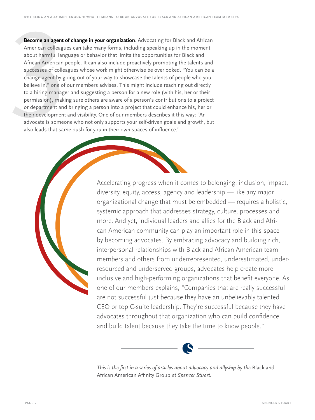**Become an agent of**<br>American colleague<br>about harmful lang<br>African American p<br>successes of collea<br>change agent by go<br>believe in," one of c<br>to a hiring manage<br>permission), makir<br>or department and<br>their development advocate **Become an agent of change in your organization**. Advocating for Black and African American colleagues can take many forms, including speaking up in the moment about harmful language or behavior that limits the opportunities for Black and African American people. It can also include proactively promoting the talents and successes of colleagues whose work might otherwise be overlooked. "You can be a change agent by going out of your way to showcase the talents of people who you believe in," one of our members advises. This might include reaching out directly to a hiring manager and suggesting a person for a new role (with his, her or their permission), making sure others are aware of a person's contributions to a project or department and bringing a person into a project that could enhance his, her or their development and visibility. One of our members describes it this way: "An advocate is someone who not only supports your self-driven goals and growth, but also leads that same push for you in their own spaces of influence."

> Accelerating progress when it comes to belonging, inclusion, impact, diversity, equity, access, agency and leadership — like any major organizational change that must be embedded — requires a holistic, systemic approach that addresses strategy, culture, processes and more. And yet, individual leaders and allies for the Black and African American community can play an important role in this space by becoming advocates. By embracing advocacy and building rich, interpersonal relationships with Black and African American team members and others from underrepresented, underestimated, underresourced and underserved groups, advocates help create more inclusive and high-performing organizations that benefit everyone. As one of our members explains, "Companies that are really successful are not successful just because they have an unbelievably talented CEO or top C-suite leadership. They're successful because they have advocates throughout that organization who can build confidence and build talent because they take the time to know people."



*This is the first in a series of articles about advocacy and allyship by the* Black and African American Affinity Group *at Spencer Stuart.*